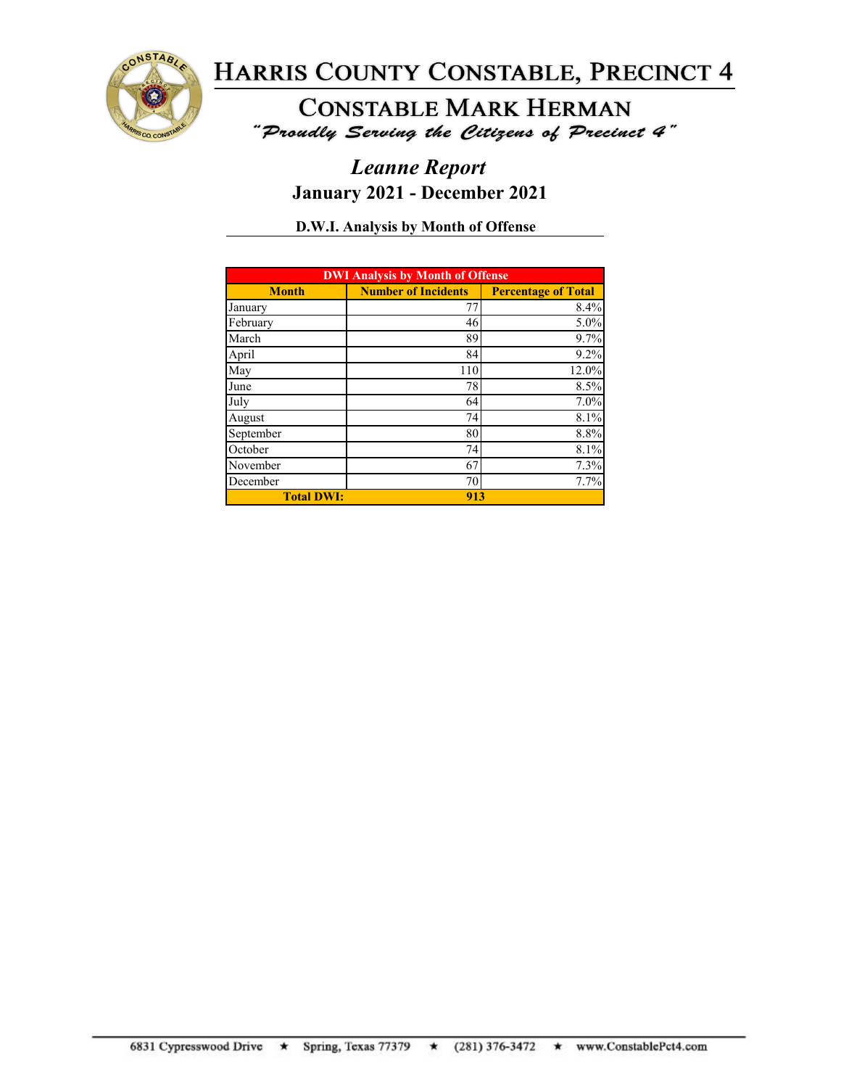

**CONSTABLE MARK HERMAN** "Proudly Serving the Citizens of Precinct 4"

## *Leanne Report* **January 2021 - December 2021**

**D.W.I. Analysis by Month of Offense**

| <b>DWI Analysis by Month of Offense</b> |                            |                            |  |
|-----------------------------------------|----------------------------|----------------------------|--|
| <b>Month</b>                            | <b>Number of Incidents</b> | <b>Percentage of Total</b> |  |
| January                                 | 77                         | 8.4%                       |  |
| February                                | 46                         | 5.0%                       |  |
| March                                   | 89                         | 9.7%                       |  |
| April                                   | 84                         | 9.2%                       |  |
| May                                     | 110                        | 12.0%                      |  |
| June                                    | 78                         | 8.5%                       |  |
| July                                    | 64                         | 7.0%                       |  |
| August                                  | 74                         | 8.1%                       |  |
| September                               | 80                         | 8.8%                       |  |
| October                                 | 74                         | 8.1%                       |  |
| November                                | 67                         | 7.3%                       |  |
| December                                | 70                         | 7.7%                       |  |
| <b>Total DWI:</b>                       | 913                        |                            |  |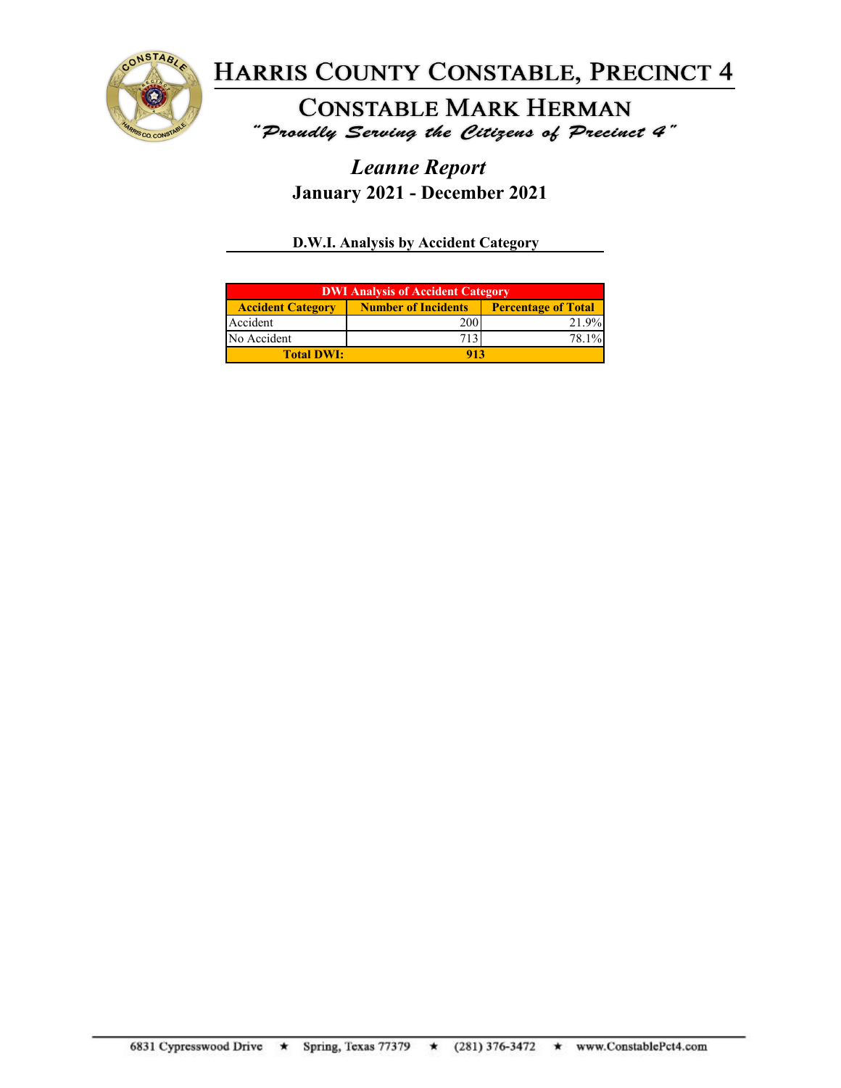

**CONSTABLE MARK HERMAN** "Proudly Serving the Citizens of Precinct 4"

## *Leanne Report* **January 2021 - December 2021**

**D.W.I. Analysis by Accident Category**

| <b>DWI Analysis of Accident Category</b> |                            |                            |  |
|------------------------------------------|----------------------------|----------------------------|--|
| <b>Accident Category</b>                 | <b>Number of Incidents</b> | <b>Percentage of Total</b> |  |
| Accident                                 | 200                        | 21.9%                      |  |
| No Accident                              |                            | 78.1%                      |  |
| <b>Total DWI:</b>                        |                            |                            |  |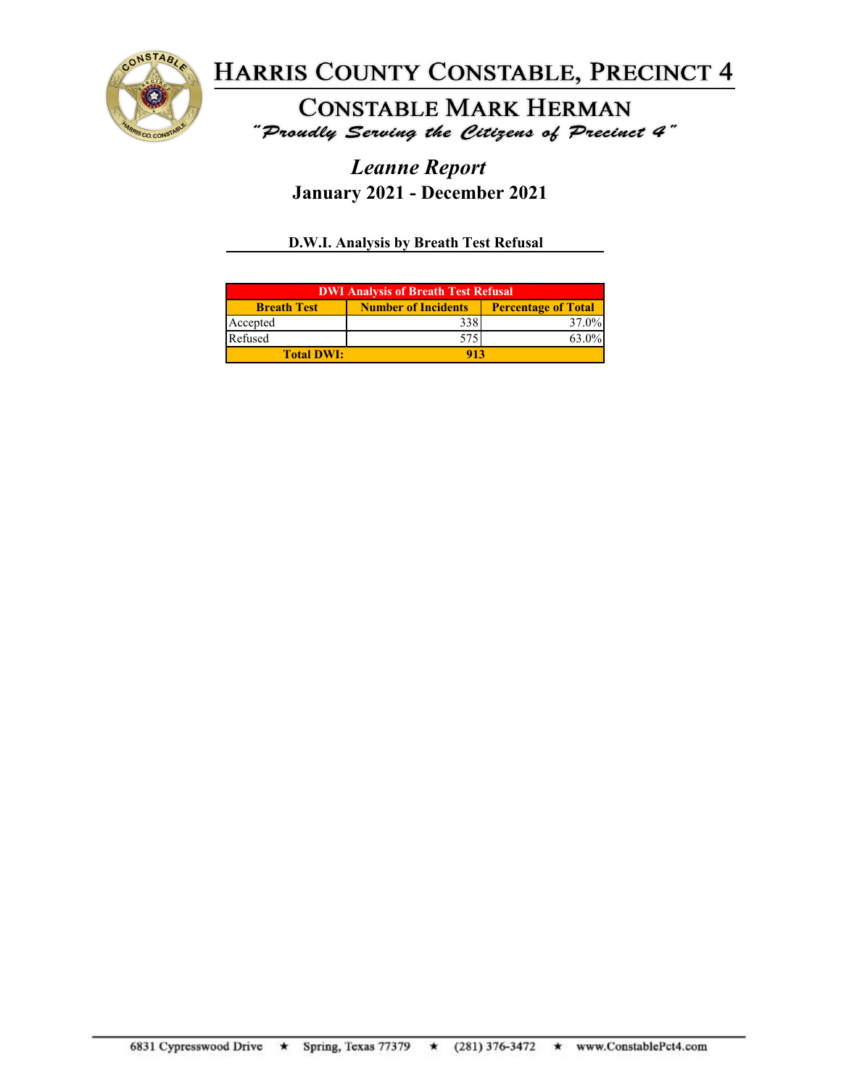

**CONSTABLE MARK HERMAN** "Proudly Serving the Citizens of Precinct 4"

## *Leanne Report* **January 2021 - December 2021**

**D.W.I. Analysis by Breath Test Refusal**

| <b>DWI Analysis of Breath Test Refusal</b> |                            |                            |  |
|--------------------------------------------|----------------------------|----------------------------|--|
| <b>Breath Test</b>                         | <b>Number of Incidents</b> | <b>Percentage of Total</b> |  |
| Accepted                                   | 338                        | 37.0%                      |  |
| Refused                                    | 575                        | 63.0%                      |  |
| <b>Total DWI:</b>                          | 913                        |                            |  |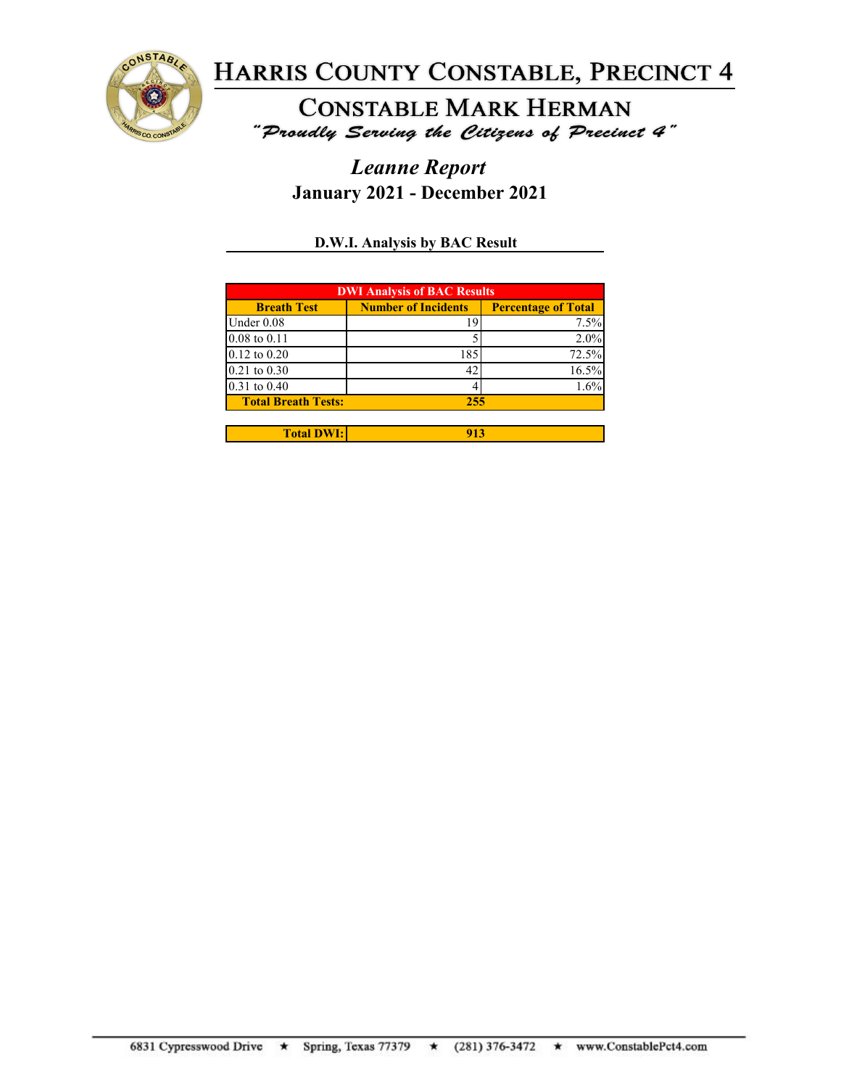

**CONSTABLE MARK HERMAN** "Proudly Serving the Citizens of Precinct 4"

## *Leanne Report* **January 2021 - December 2021**

**D.W.I. Analysis by BAC Result**

| <b>DWI Analysis of BAC Results</b> |                            |                            |  |
|------------------------------------|----------------------------|----------------------------|--|
| <b>Breath Test</b>                 | <b>Number of Incidents</b> | <b>Percentage of Total</b> |  |
| Under 0.08                         |                            | 7.5%                       |  |
| $0.08$ to $0.11$                   |                            | $2.0\%$                    |  |
| $0.12$ to $0.20$                   | 185                        | 72.5%                      |  |
| $0.21$ to $0.30$                   | 42                         | 16.5%                      |  |
| $0.31$ to $0.40$                   |                            | 1.6%                       |  |
| <b>Total Breath Tests:</b>         | 255                        |                            |  |
|                                    |                            |                            |  |

| <b>DITT</b><br>Total L | -- |
|------------------------|----|
|                        |    |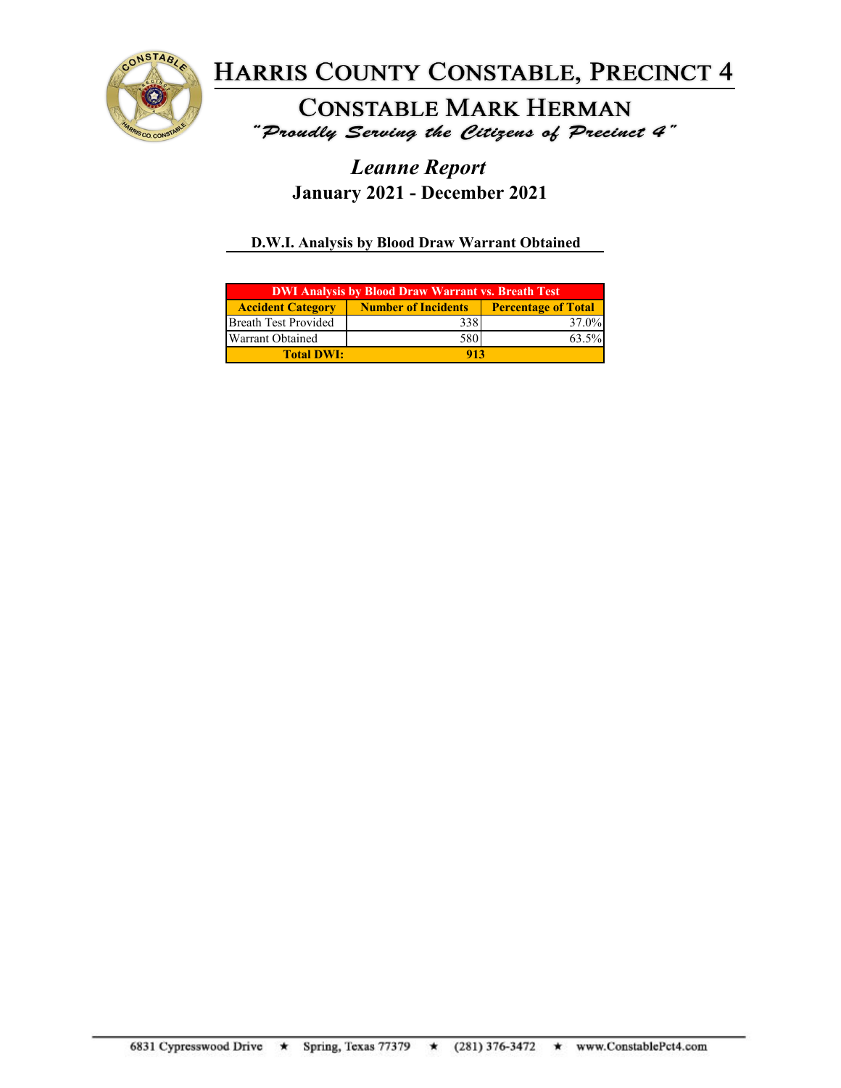

**CONSTABLE MARK HERMAN** "Proudly Serving the Citizens of Precinct 4"

## *Leanne Report* **January 2021 - December 2021**

### **D.W.I. Analysis by Blood Draw Warrant Obtained**

| <b>DWI Analysis by Blood Draw Warrant vs. Breath Test</b> |                            |                            |  |
|-----------------------------------------------------------|----------------------------|----------------------------|--|
| <b>Accident Category</b>                                  | <b>Number of Incidents</b> | <b>Percentage of Total</b> |  |
| <b>Breath Test Provided</b>                               | 338                        | 37.0%                      |  |
| Warrant Obtained                                          | 580                        | 63.5%                      |  |
| <b>Total DWI:</b>                                         | 913                        |                            |  |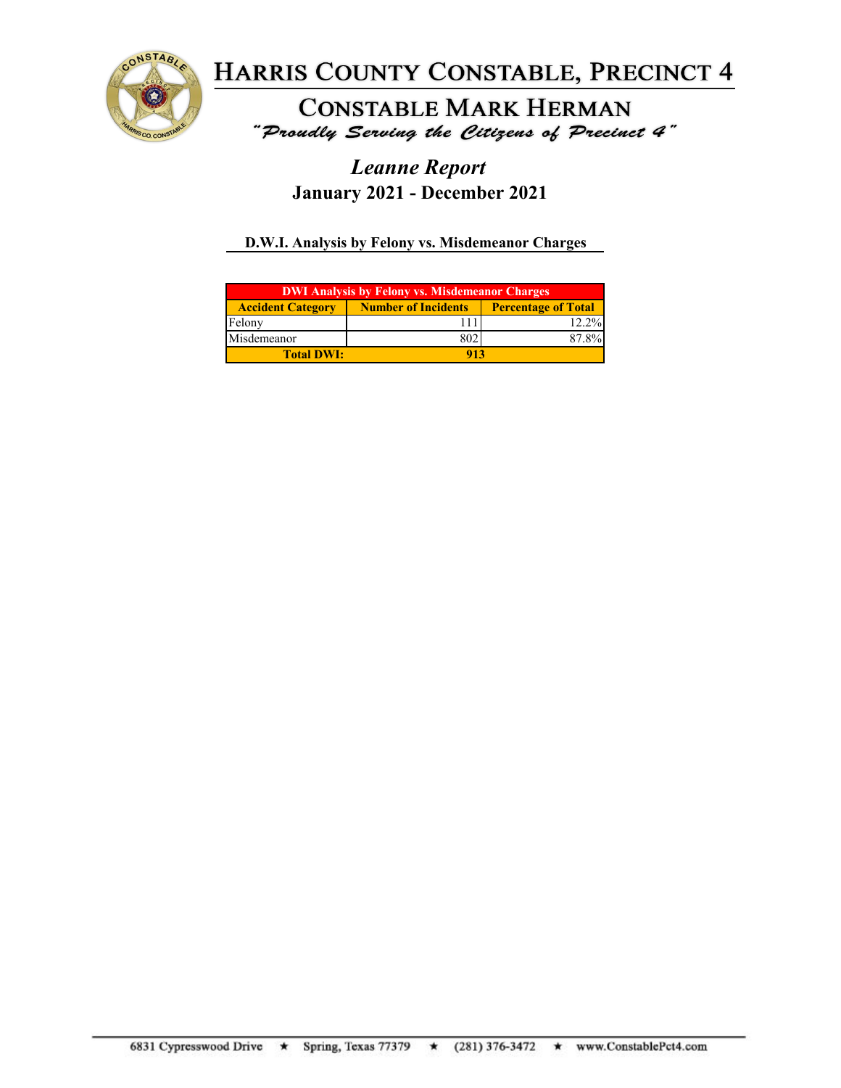

**CONSTABLE MARK HERMAN** "Proudly Serving the Citizens of Precinct 4"

## *Leanne Report* **January 2021 - December 2021**

**D.W.I. Analysis by Felony vs. Misdemeanor Charges**

| <b>DWI Analysis by Felony vs. Misdemeanor Charges</b> |                            |                            |  |
|-------------------------------------------------------|----------------------------|----------------------------|--|
| <b>Accident Category</b>                              | <b>Number of Incidents</b> | <b>Percentage of Total</b> |  |
| Felony                                                |                            | $12.2\%$                   |  |
| Misdemeanor                                           | 802                        | 87.8%                      |  |
| <b>Total DWI:</b>                                     | 913                        |                            |  |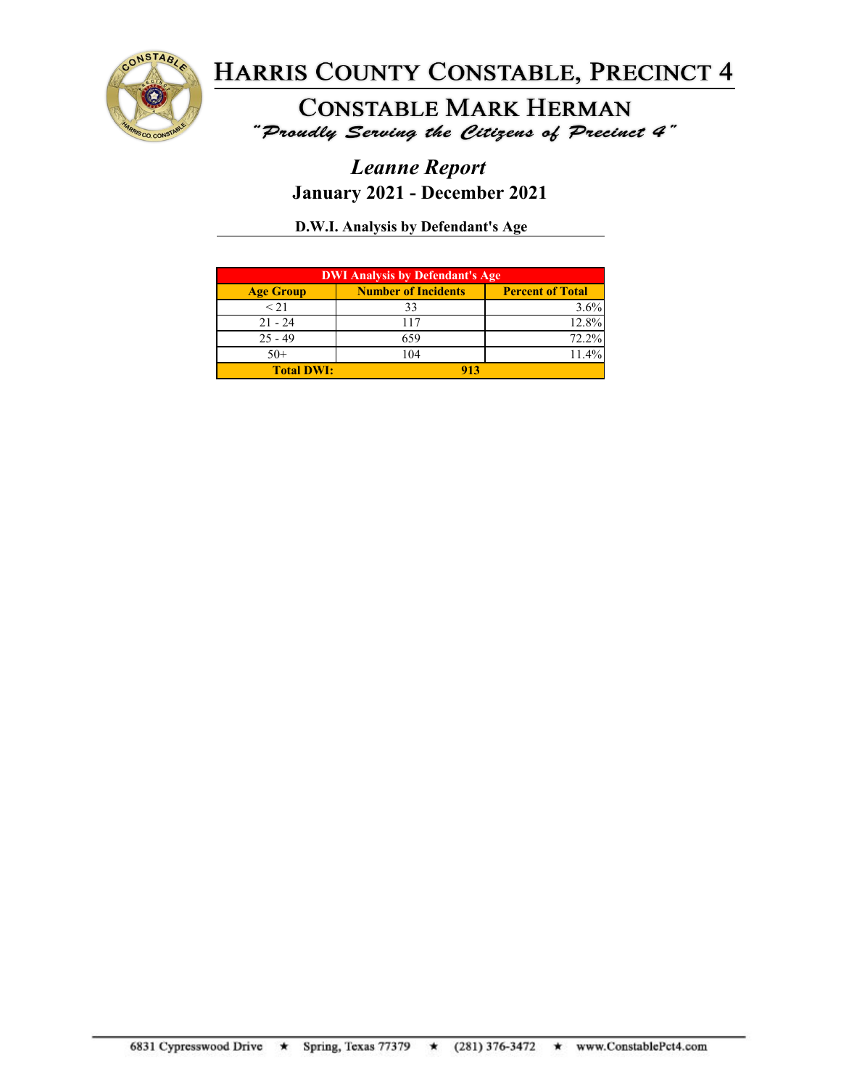

**CONSTABLE MARK HERMAN** "Proudly Serving the Citizens of Precinct 4"

## *Leanne Report* **January 2021 - December 2021**

**D.W.I. Analysis by Defendant's Age**

| <b>DWI Analysis by Defendant's Age</b> |                            |                         |
|----------------------------------------|----------------------------|-------------------------|
| <b>Age Group</b>                       | <b>Number of Incidents</b> | <b>Percent of Total</b> |
| < 21                                   | 33                         | 3.6%                    |
| $21 - 24$                              | 117                        | 12.8%                   |
| $25 - 49$                              | 659                        | 72.2%                   |
| $50+$                                  | 104                        | 11.4%                   |
| <b>Total DWI:</b>                      |                            |                         |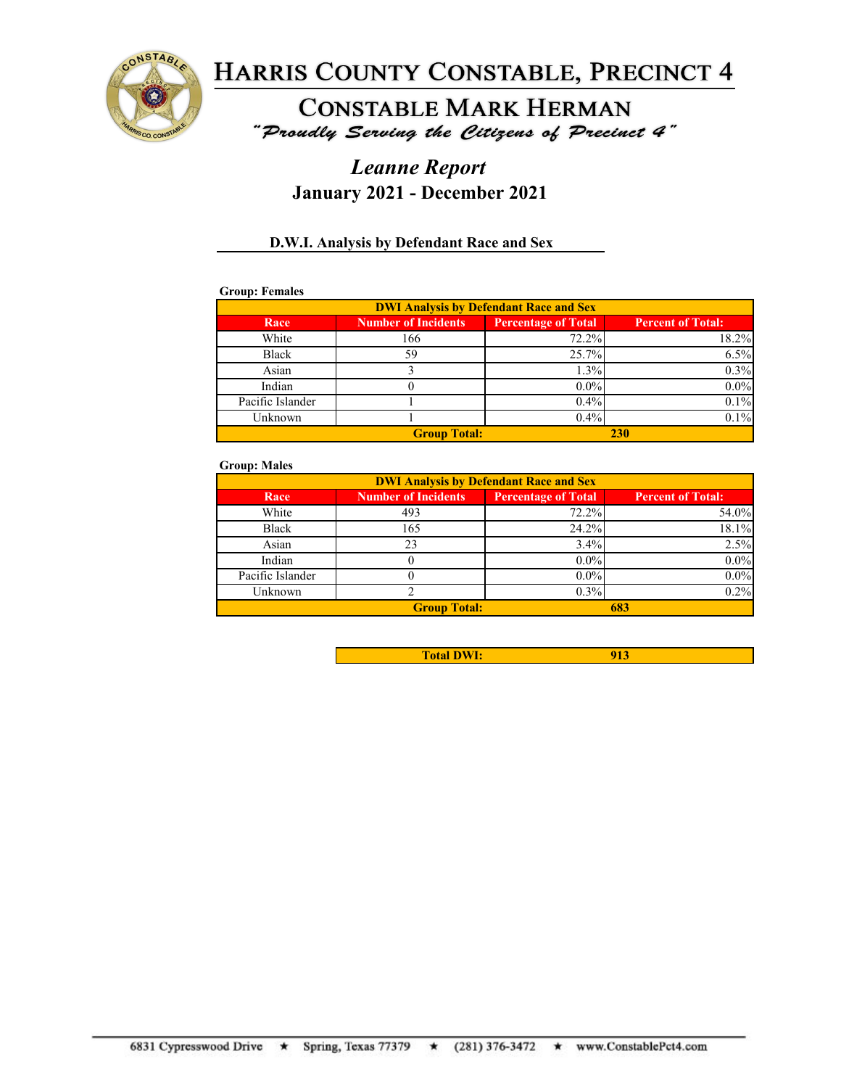

# **CONSTABLE MARK HERMAN**

"Proudly Serving the Citizens of Precinct 4"

### *Leanne Report* **January 2021 - December 2021**

### **D.W.I. Analysis by Defendant Race and Sex**

### **Group: Females**

| <b>DWI Analysis by Defendant Race and Sex</b> |                            |                            |                          |
|-----------------------------------------------|----------------------------|----------------------------|--------------------------|
| Race                                          | <b>Number of Incidents</b> | <b>Percentage of Total</b> | <b>Percent of Total:</b> |
| White                                         | 166                        | 72.2%                      | 18.2%                    |
| Black                                         | 59                         | 25.7%                      | 6.5%                     |
| Asian                                         |                            | 1.3%                       | 0.3%                     |
| Indian                                        |                            | $0.0\%$                    | $0.0\%$                  |
| Pacific Islander                              |                            | 0.4%                       | 0.1%                     |
| Unknown                                       |                            | 0.4%                       | 0.1%                     |
|                                               | <b>Group Total:</b>        |                            | 230                      |

#### **Group: Males**

| <b>DWI Analysis by Defendant Race and Sex</b> |                            |                            |                          |
|-----------------------------------------------|----------------------------|----------------------------|--------------------------|
| Race                                          | <b>Number of Incidents</b> | <b>Percentage of Total</b> | <b>Percent of Total:</b> |
| White                                         | 493                        | 72.2%                      | 54.0%                    |
| Black                                         | 165                        | 24.2%                      | 18.1%                    |
| Asian                                         | 23                         | 3.4%                       | 2.5%                     |
| Indian                                        |                            | $0.0\%$                    | $0.0\%$                  |
| Pacific Islander                              |                            | $0.0\%$                    | $0.0\%$                  |
| Unknown                                       |                            | $0.3\%$                    | 0.2%                     |
|                                               | <b>Group Total:</b>        |                            | 683                      |

| <b>Total DWI.</b> | . . |
|-------------------|-----|
|                   |     |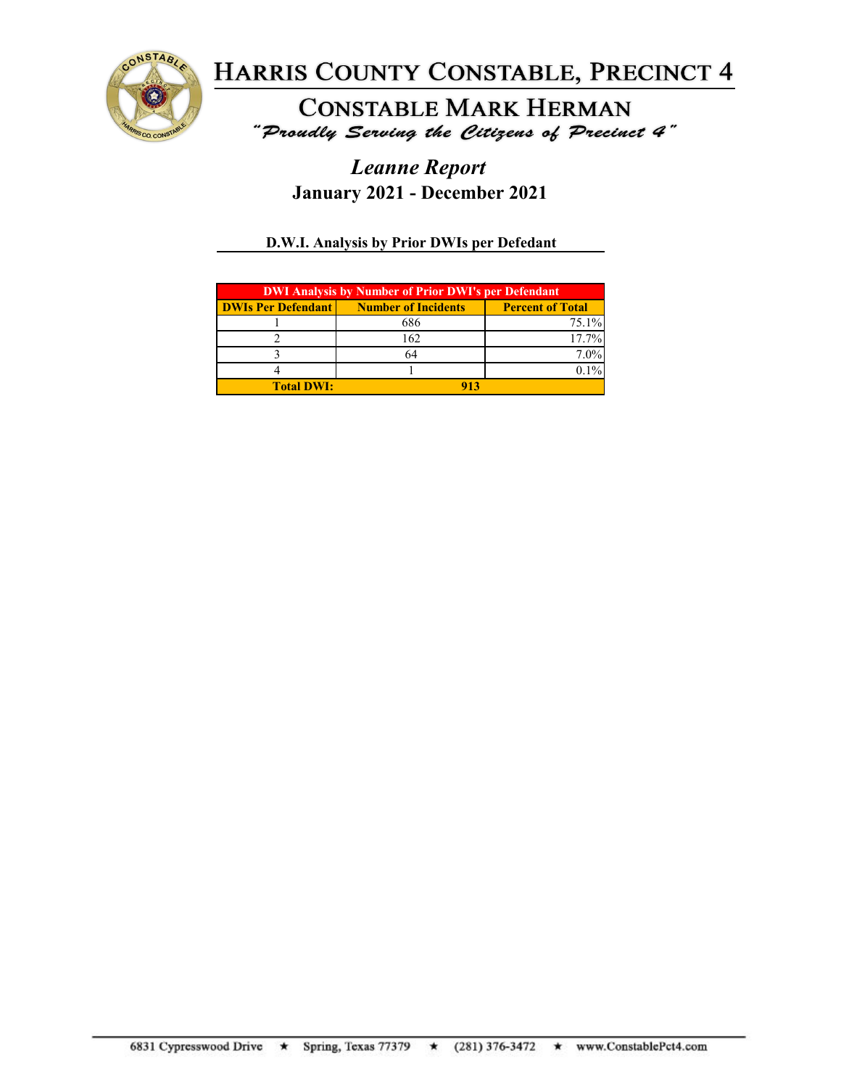

**CONSTABLE MARK HERMAN** "Proudly Serving the Citizens of Precinct 4"

## *Leanne Report* **January 2021 - December 2021**

### **D.W.I. Analysis by Prior DWIs per Defedant**

| <b>DWI Analysis by Number of Prior DWI's per Defendant</b> |                                                 |                         |
|------------------------------------------------------------|-------------------------------------------------|-------------------------|
|                                                            | <b>DWIs Per Defendant   Number of Incidents</b> | <b>Percent of Total</b> |
|                                                            | 686                                             | $75.1\%$                |
|                                                            | 162                                             | 17.7%                   |
|                                                            |                                                 | $7.0\%$                 |
|                                                            |                                                 |                         |
| <b>Total DWI:</b>                                          |                                                 |                         |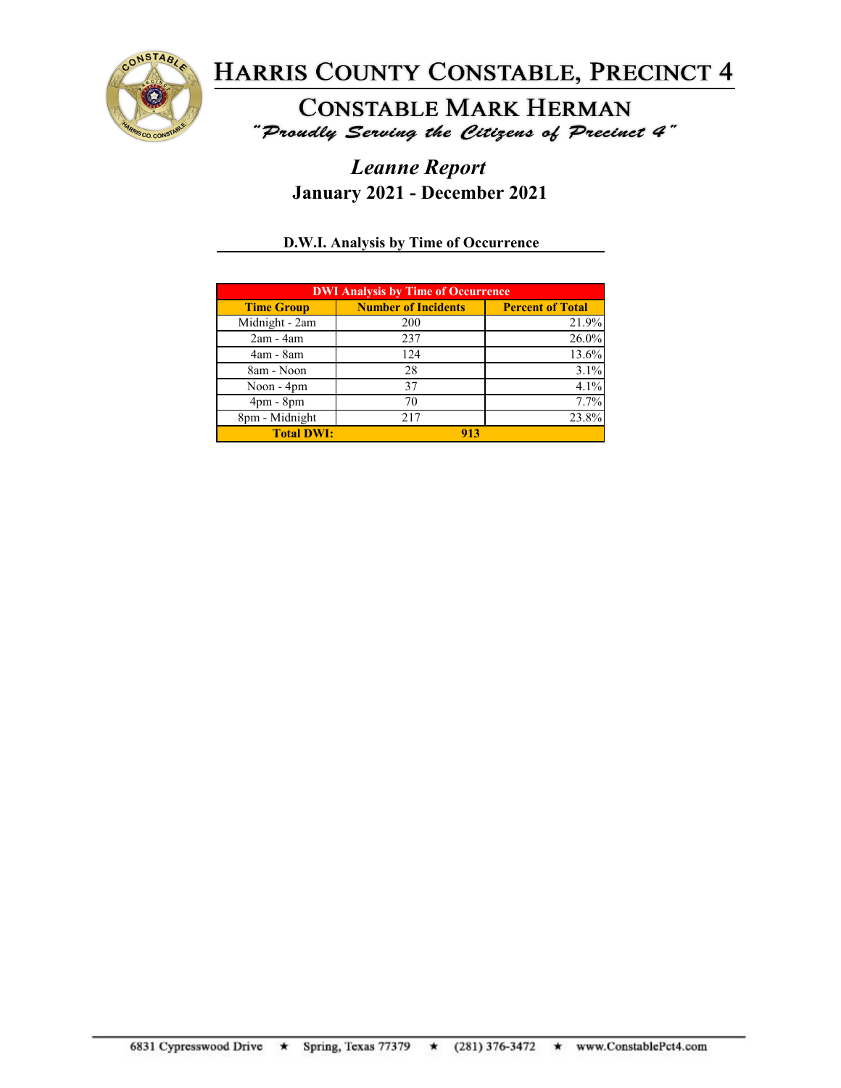

**CONSTABLE MARK HERMAN** "Proudly Serving the Citizens of Precinct 4"

## *Leanne Report* **January 2021 - December 2021**

### **D.W.I. Analysis by Time of Occurrence**

| <b>DWI Analysis by Time of Occurrence</b> |                            |                         |  |
|-------------------------------------------|----------------------------|-------------------------|--|
| <b>Time Group</b>                         | <b>Number of Incidents</b> | <b>Percent of Total</b> |  |
| Midnight - 2am                            | 200                        | 21.9%                   |  |
| $2am - 4am$                               | 237                        | 26.0%                   |  |
| 4am - 8am                                 | 124                        | 13.6%                   |  |
| 8am - Noon                                | 28                         | 3.1%                    |  |
| Noon - 4pm                                | 37                         | 4.1%                    |  |
| $4pm - 8pm$                               | 70                         | 7.7%                    |  |
| 8pm - Midnight                            | 217                        | 23.8%                   |  |
| <b>Total DWI:</b>                         | 913                        |                         |  |